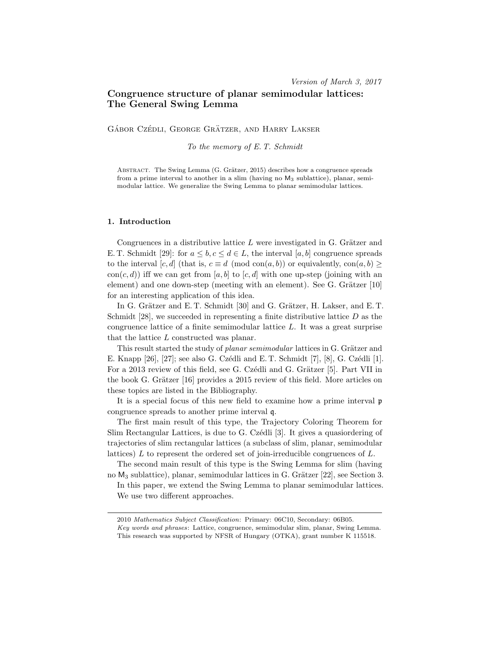# Congruence structure of planar semimodular lattices: The General Swing Lemma

GÁBOR CZÉDLI, GEORGE GRÄTZER, AND HARRY LAKSER

To the memory of E. T. Schmidt

ABSTRACT. The Swing Lemma (G. Grätzer, 2015) describes how a congruence spreads from a prime interval to another in a slim (having no M<sup>3</sup> sublattice), planar, semimodular lattice. We generalize the Swing Lemma to planar semimodular lattices.

# 1. Introduction

Congruences in a distributive lattice  $L$  were investigated in G. Grätzer and E. T. Schmidt [29]: for  $a \leq b, c \leq d \in L$ , the interval [a, b] congruence spreads to the interval [c, d] (that is,  $c \equiv d \pmod{con(a, b)}$  or equivalently,  $con(a, b) \ge$ con(c, d)) iff we can get from [a, b] to [c, d] with one up-step (joining with an element) and one down-step (meeting with an element). See G. Grätzer  $[10]$ for an interesting application of this idea.

In G. Grätzer and E. T. Schmidt [30] and G. Grätzer, H. Lakser, and E. T. Schmidt  $[28]$ , we succeeded in representing a finite distributive lattice  $D$  as the congruence lattice of a finite semimodular lattice L. It was a great surprise that the lattice L constructed was planar.

This result started the study of *planar semimodular* lattices in G. Grätzer and E. Knapp [26], [27]; see also G. Czédli and E. T. Schmidt [7], [8], G. Czédli [1]. For a 2013 review of this field, see G. Czédli and G. Grätzer [5]. Part VII in the book G. Grätzer  $[16]$  provides a 2015 review of this field. More articles on these topics are listed in the Bibliography.

It is a special focus of this new field to examine how a prime interval p congruence spreads to another prime interval q.

The first main result of this type, the Trajectory Coloring Theorem for Slim Rectangular Lattices, is due to G. Czédli [3]. It gives a quasiordering of trajectories of slim rectangular lattices (a subclass of slim, planar, semimodular lattices) L to represent the ordered set of join-irreducible congruences of L.

The second main result of this type is the Swing Lemma for slim (having no  $M_3$  sublattice), planar, semimodular lattices in G. Grätzer [22], see Section 3.

In this paper, we extend the Swing Lemma to planar semimodular lattices. We use two different approaches.

<sup>2010</sup> Mathematics Subject Classification: Primary: 06C10, Secondary: 06B05.

Key words and phrases: Lattice, congruence, semimodular slim, planar, Swing Lemma. This research was supported by NFSR of Hungary (OTKA), grant number K 115518.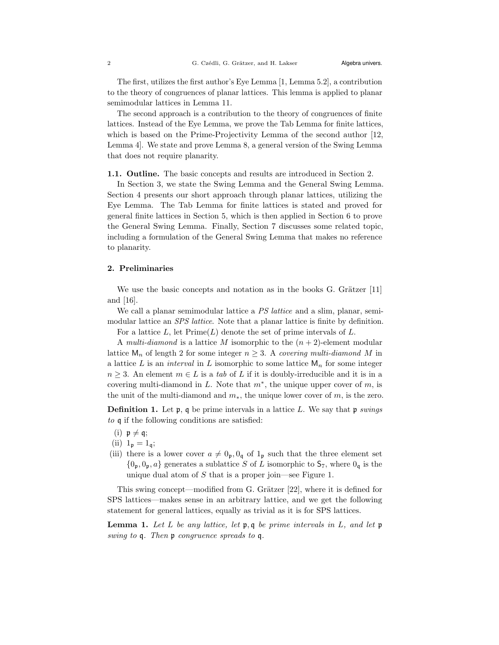The first, utilizes the first author's Eye Lemma [1, Lemma 5.2], a contribution to the theory of congruences of planar lattices. This lemma is applied to planar semimodular lattices in Lemma 11.

The second approach is a contribution to the theory of congruences of finite lattices. Instead of the Eye Lemma, we prove the Tab Lemma for finite lattices, which is based on the Prime-Projectivity Lemma of the second author [12, Lemma 4]. We state and prove Lemma 8, a general version of the Swing Lemma that does not require planarity.

1.1. Outline. The basic concepts and results are introduced in Section 2.

In Section 3, we state the Swing Lemma and the General Swing Lemma. Section 4 presents our short approach through planar lattices, utilizing the Eye Lemma. The Tab Lemma for finite lattices is stated and proved for general finite lattices in Section 5, which is then applied in Section 6 to prove the General Swing Lemma. Finally, Section 7 discusses some related topic, including a formulation of the General Swing Lemma that makes no reference to planarity.

## 2. Preliminaries

We use the basic concepts and notation as in the books  $G$ . Grätzer  $[11]$ and [16].

We call a planar semimodular lattice a *PS lattice* and a slim, planar, semimodular lattice an *SPS lattice*. Note that a planar lattice is finite by definition. For a lattice  $L$ , let  $Prime(L)$  denote the set of prime intervals of  $L$ .

A multi-diamond is a lattice M isomorphic to the  $(n+2)$ -element modular

lattice  $\mathsf{M}_n$  of length 2 for some integer  $n \geq 3$ . A covering multi-diamond M in a lattice L is an *interval* in L isomorphic to some lattice  $\mathsf{M}_n$  for some integer  $n \geq 3$ . An element  $m \in L$  is a tab of L if it is doubly-irreducible and it is in a covering multi-diamond in L. Note that  $m^*$ , the unique upper cover of  $m$ , is the unit of the multi-diamond and  $m_{\ast}$ , the unique lower cover of m, is the zero.

**Definition 1.** Let  $\mathfrak{p}$ ,  $\mathfrak{q}$  be prime intervals in a lattice L. We say that  $\mathfrak{p}$  swings to q if the following conditions are satisfied:

- (i)  $p \neq q$ ;
- (ii)  $1_p = 1_q$ ;
- (iii) there is a lower cover  $a \neq 0_p, 0_q$  of  $1_p$  such that the three element set  ${0_p, 0_p, a}$  generates a sublattice S of L isomorphic to  $S_7$ , where  $0_q$  is the unique dual atom of  $S$  that is a proper join—see Figure 1.

This swing concept—modified from G. Grätzer  $[22]$ , where it is defined for SPS lattices—makes sense in an arbitrary lattice, and we get the following statement for general lattices, equally as trivial as it is for SPS lattices.

**Lemma 1.** Let L be any lattice, let  $\mathfrak{p}, \mathfrak{q}$  be prime intervals in L, and let  $\mathfrak{p}$ swing to q. Then p congruence spreads to q.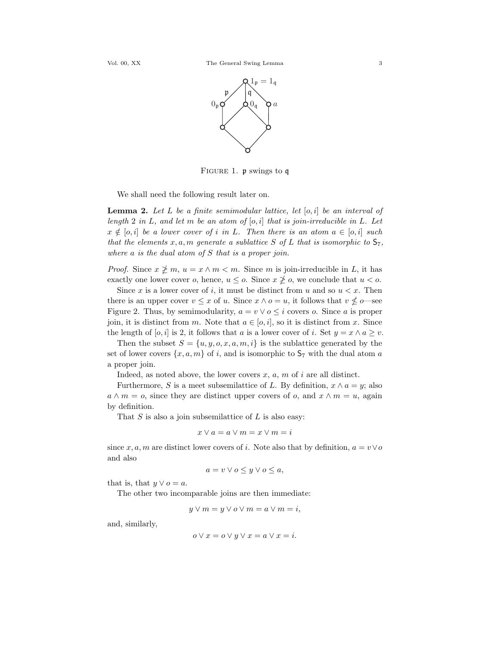

FIGURE 1. p swings to q

We shall need the following result later on.

**Lemma 2.** Let L be a finite semimodular lattice, let  $[o, i]$  be an interval of length 2 in L, and let m be an atom of  $[o, i]$  that is join-irreducible in L. Let  $x \notin [o, i]$  be a lower cover of i in L. Then there is an atom  $a \in [o, i]$  such that the elements x, a, m generate a sublattice S of L that is isomorphic to  $\mathsf{S}_7$ , where  $a$  is the dual atom of  $S$  that is a proper join.

*Proof.* Since  $x \not\geq m$ ,  $u = x \wedge m < m$ . Since m is join-irreducible in L, it has exactly one lower cover o, hence,  $u \leq o$ . Since  $x \not\geq o$ , we conclude that  $u < o$ .

Since x is a lower cover of i, it must be distinct from u and so  $u < x$ . Then there is an upper cover  $v \leq x$  of u. Since  $x \wedge o = u$ , it follows that  $v \nleq o$ —see Figure 2. Thus, by semimodularity,  $a = v \vee o \leq i$  covers o. Since a is proper join, it is distinct from m. Note that  $a \in [o, i]$ , so it is distinct from x. Since the length of [o, i] is 2, it follows that a is a lower cover of i. Set  $y = x \wedge a \geq v$ .

Then the subset  $S = \{u, y, o, x, a, m, i\}$  is the sublattice generated by the set of lower covers  $\{x, a, m\}$  of i, and is isomorphic to  $S_7$  with the dual atom a a proper join.

Indeed, as noted above, the lower covers  $x, a, m$  of  $i$  are all distinct.

Furthermore, S is a meet subsemilattice of L. By definition,  $x \wedge a = y$ ; also  $a \wedge m = o$ , since they are distinct upper covers of o, and  $x \wedge m = u$ , again by definition.

That  $S$  is also a join subsemilattice of  $L$  is also easy:

$$
x \vee a = a \vee m = x \vee m = i
$$

since x, a, m are distinct lower covers of i. Note also that by definition,  $a = v \vee o$ and also

$$
a = v \lor o \leq y \lor o \leq a,
$$

that is, that  $y \vee o = a$ .

The other two incomparable joins are then immediate:

$$
y \vee m = y \vee o \vee m = a \vee m = i,
$$

and, similarly,

$$
o \lor x = o \lor y \lor x = a \lor x = i.
$$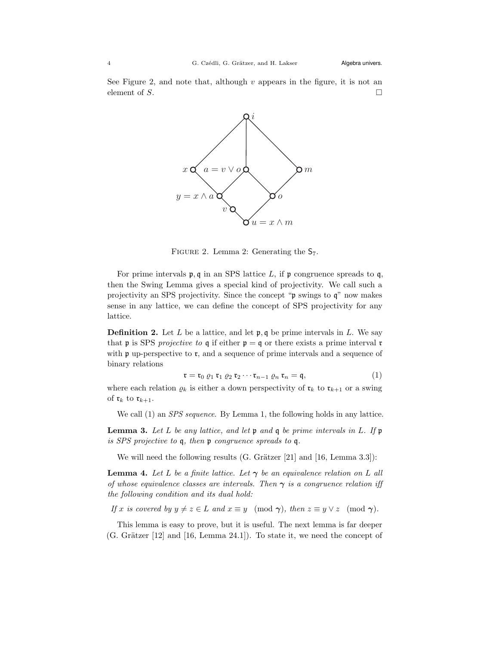See Figure 2, and note that, although  $v$  appears in the figure, it is not an element of S.  $\Box$ 



FIGURE 2. Lemma 2: Generating the  $S_7$ .

For prime intervals  $\mathfrak{p}, \mathfrak{q}$  in an SPS lattice L, if  $\mathfrak{p}$  congruence spreads to  $\mathfrak{q}$ , then the Swing Lemma gives a special kind of projectivity. We call such a projectivity an SPS projectivity. Since the concept "p swings to q" now makes sense in any lattice, we can define the concept of SPS projectivity for any lattice.

**Definition 2.** Let L be a lattice, and let  $\mathfrak{p}, \mathfrak{q}$  be prime intervals in L. We say that **p** is SPS projective to **q** if either **p** = **q** or there exists a prime interval **r** with  $\mathfrak p$  up-perspective to  $\mathfrak r$ , and a sequence of prime intervals and a sequence of binary relations

$$
\mathfrak{r} = \mathfrak{r}_0 \varrho_1 \mathfrak{r}_1 \varrho_2 \mathfrak{r}_2 \cdots \mathfrak{r}_{n-1} \varrho_n \mathfrak{r}_n = \mathfrak{q},\tag{1}
$$

where each relation  $\varrho_k$  is either a down perspectivity of  $\mathfrak{r}_k$  to  $\mathfrak{r}_{k+1}$  or a swing of  $\mathfrak{r}_k$  to  $\mathfrak{r}_{k+1}$ .

We call (1) an *SPS sequence*. By Lemma 1, the following holds in any lattice.

**Lemma 3.** Let L be any lattice, and let  $\mathfrak p$  and  $\mathfrak q$  be prime intervals in L. If  $\mathfrak p$ is SPS projective to q, then p congruence spreads to q.

We will need the following results (G. Grätzer  $[21]$  and  $[16, \text{Lemma } 3.3]$ ):

**Lemma 4.** Let L be a finite lattice. Let  $\gamma$  be an equivalence relation on L all of whose equivalence classes are intervals. Then  $\gamma$  is a congruence relation iff the following condition and its dual hold:

If x is covered by  $y \neq z \in L$  and  $x \equiv y \pmod{\gamma}$ , then  $z \equiv y \vee z \pmod{\gamma}$ .

This lemma is easy to prove, but it is useful. The next lemma is far deeper  $(G. Grätzer [12] and [16, Lemma 24.1]).$  To state it, we need the concept of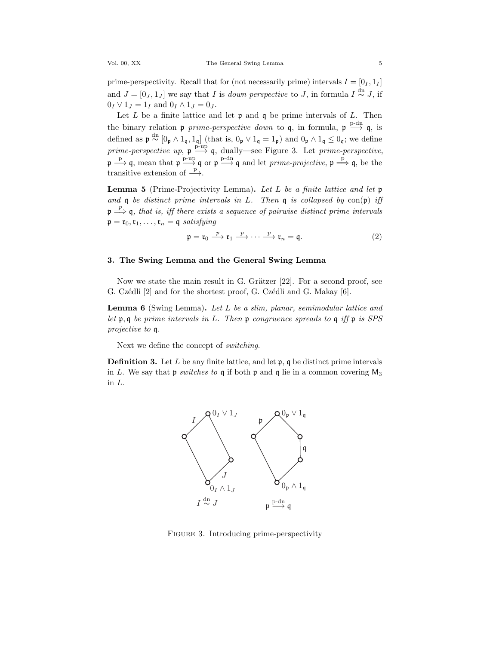prime-perspectivity. Recall that for (not necessarily prime) intervals  $I = [0_I, 1_I]$ and  $J = [0_J, 1_J]$  we say that I is *down perspective* to J, in formula  $I \stackrel{dn}{\sim} J$ , if  $0_I \vee 1_J = 1_I$  and  $0_I \wedge 1_J = 0_J$ .

Let  $L$  be a finite lattice and let  $\mathfrak p$  and  $\mathfrak q$  be prime intervals of  $L$ . Then the binary relation  $\mathfrak{p}$  prime-perspective down to  $\mathfrak{q}$ , in formula,  $\mathfrak{p} \stackrel{\text{p-dn}}{\longrightarrow} \mathfrak{q}$ , is defined as  $\mathfrak{p} \stackrel{\text{dn}}{\sim} [0_{\mathfrak{p}} \wedge 1_{\mathfrak{q}}, 1_{\mathfrak{q}}]$  (that is,  $0_{\mathfrak{p}} \vee 1_{\mathfrak{q}} = 1_{\mathfrak{p}})$  and  $0_{\mathfrak{p}} \wedge 1_{\mathfrak{q}} \leq 0_{\mathfrak{q}}$ ; we define prime-perspective up,  $\mathfrak{p} \stackrel{\text{p-up}}{\longrightarrow} \mathfrak{q}$ , dually—see Figure 3. Let prime-perspective,  $\not\psi \stackrel{\text{p}}{\longrightarrow} \mathfrak{q}$ , mean that  $\not\psi \stackrel{\text{p-up}}{\longrightarrow} \mathfrak{q}$  or  $\not\psi \stackrel{\text{p-dn}}{\longrightarrow} \mathfrak{q}$  and let *prime-projective*,  $\not\psi \stackrel{\text{p}}{\Longrightarrow} \mathfrak{q}$ , be the transitive extension of  $\stackrel{p}{\longrightarrow}$ .

**Lemma 5** (Prime-Projectivity Lemma). Let L be a finite lattice and let  $\mathfrak{p}$ and  $\mathfrak q$  be distinct prime intervals in L. Then  $\mathfrak q$  is collapsed by  $con(\mathfrak p)$  iff  $\mathfrak{p} \stackrel{p}{\Longrightarrow} \mathfrak{q}$ , that is, iff there exists a sequence of pairwise distinct prime intervals  $\mathfrak{p} = \mathfrak{r}_0, \mathfrak{r}_1, \ldots, \mathfrak{r}_n = \mathfrak{q}$  satisfying

$$
\mathfrak{p} = \mathfrak{r}_0 \xrightarrow{p} \mathfrak{r}_1 \xrightarrow{p} \cdots \xrightarrow{p} \mathfrak{r}_n = \mathfrak{q}.
$$
 (2)

## 3. The Swing Lemma and the General Swing Lemma

Now we state the main result in G. Grätzer  $[22]$ . For a second proof, see G. Czédli [2] and for the shortest proof, G. Czédli and G. Makay [6].

Lemma 6 (Swing Lemma). Let L be a slim, planar, semimodular lattice and let  $\mathfrak{p}, \mathfrak{q}$  be prime intervals in L. Then  $\mathfrak{p}$  congruence spreads to  $\mathfrak{q}$  if  $\mathfrak{p}$  is SPS projective to q.

Next we define the concept of switching.

**Definition 3.** Let  $L$  be any finite lattice, and let  $\mathfrak{p}$ ,  $\mathfrak{q}$  be distinct prime intervals in L. We say that  $\mathfrak p$  switches to  $\mathfrak q$  if both  $\mathfrak p$  and  $\mathfrak q$  lie in a common covering  $M_3$ in L.



FIGURE 3. Introducing prime-perspectivity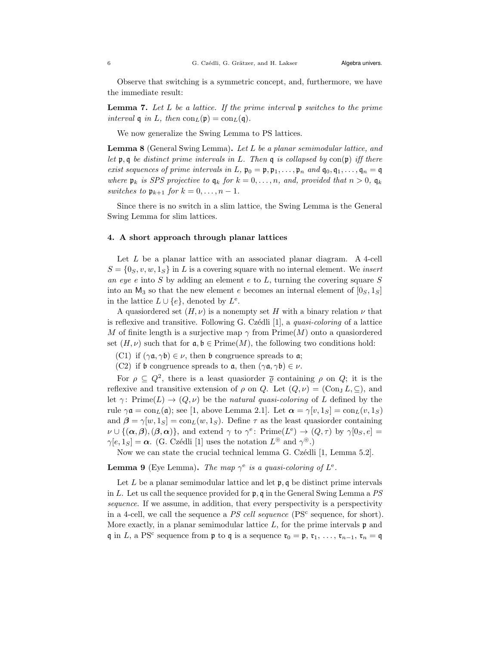Observe that switching is a symmetric concept, and, furthermore, we have the immediate result:

**Lemma 7.** Let L be a lattice. If the prime interval  $\mathfrak{p}$  switches to the prime interval  $\mathfrak{q}$  in L, then  $\text{con}_L(\mathfrak{p}) = \text{con}_L(\mathfrak{q})$ .

We now generalize the Swing Lemma to PS lattices.

Lemma 8 (General Swing Lemma). Let L be a planar semimodular lattice, and let  $\mathfrak{p}, \mathfrak{q}$  be distinct prime intervals in L. Then  $\mathfrak{q}$  is collapsed by con $(\mathfrak{p})$  iff there exist sequences of prime intervals in L,  $\mathfrak{p}_0 = \mathfrak{p}, \mathfrak{p}_1, \ldots, \mathfrak{p}_n$  and  $\mathfrak{q}_0, \mathfrak{q}_1, \ldots, \mathfrak{q}_n = \mathfrak{q}$ where  $\mathfrak{p}_k$  is SPS projective to  $\mathfrak{q}_k$  for  $k = 0, \ldots, n$ , and, provided that  $n > 0$ ,  $\mathfrak{q}_k$ switches to  $\mathfrak{p}_{k+1}$  for  $k = 0, \ldots, n-1$ .

Since there is no switch in a slim lattice, the Swing Lemma is the General Swing Lemma for slim lattices.

## 4. A short approach through planar lattices

Let  $L$  be a planar lattice with an associated planar diagram. A 4-cell  $S = \{0_S, v, w, 1_S\}$  in L is a covering square with no internal element. We insert an eye e into S by adding an element  $e$  to  $L$ , turning the covering square  $S$ into an  $M_3$  so that the new element e becomes an internal element of  $[0<sub>S</sub>, 1<sub>S</sub>]$ in the lattice  $L \cup \{e\}$ , denoted by  $L^e$ .

A quasiordered set  $(H, \nu)$  is a nonempty set H with a binary relation  $\nu$  that is reflexive and transitive. Following G. Czédli  $[1]$ , a *quasi-coloring* of a lattice M of finite length is a surjective map  $\gamma$  from  $\text{Prime}(M)$  onto a quasioned set  $(H, \nu)$  such that for  $\mathfrak{a}, \mathfrak{b} \in \mathrm{Prime}(M)$ , the following two conditions hold:

- (C1) if  $(\gamma \mathfrak{a}, \gamma \mathfrak{b}) \in \nu$ , then b congruence spreads to  $\mathfrak{a}$ ;
- (C2) if b congruence spreads to  $a$ , then  $(\gamma a, \gamma b) \in \nu$ .

For  $\rho \subseteq Q^2$ , there is a least quasionaler  $\overline{\varrho}$  containing  $\rho$  on  $Q$ ; it is the reflexive and transitive extension of  $\rho$  on Q. Let  $(Q, \nu) = (\text{Con}_I L, \subseteq)$ , and let  $\gamma$ : Prime(L)  $\rightarrow$  (Q, v) be the natural quasi-coloring of L defined by the rule  $\gamma \mathfrak{a} = \text{con}_{L}(\mathfrak{a});$  see [1, above Lemma 2.1]. Let  $\alpha = \gamma[v, 1_S] = \text{con}_{L}(v, 1_S)$ and  $\beta = \gamma[w, 1_S] = \text{con}_L(w, 1_S)$ . Define  $\tau$  as the least quasionder containing  $\nu \cup \{(\boldsymbol{\alpha}, \boldsymbol{\beta}),(\boldsymbol{\beta}, \boldsymbol{\alpha})\}\$ , and extend  $\gamma$  to  $\gamma^e$ : Prime $(L^e) \to (Q, \tau)$  by  $\gamma[0_S, e] =$  $\gamma[e, 1_S] = \boldsymbol{\alpha}$ . (G. Czédli [1] uses the notation  $L^{\circledcirc}$  and  $\gamma^{\circledcirc}$ .)

Now we can state the crucial technical lemma G. Czédli [1, Lemma 5.2].

**Lemma 9** (Eye Lemma). The map  $\gamma^e$  is a quasi-coloring of  $L^e$ .

Let  $L$  be a planar semimodular lattice and let  $\mathfrak{p}, \mathfrak{q}$  be distinct prime intervals in L. Let us call the sequence provided for  $\mathfrak{p}$ , q in the General Swing Lemma a PS sequence. If we assume, in addition, that every perspectivity is a perspectivity in a 4-cell, we call the sequence a PS cell sequence (PS<sup>c</sup> sequence, for short). More exactly, in a planar semimodular lattice  $L$ , for the prime intervals  $\mathfrak p$  and q in L, a PS<sup>c</sup> sequence from  $\mathfrak p$  to q is a sequence  $\mathfrak r_0 = \mathfrak p, \mathfrak r_1, \ldots, \mathfrak r_{n-1}, \mathfrak r_n = \mathfrak q$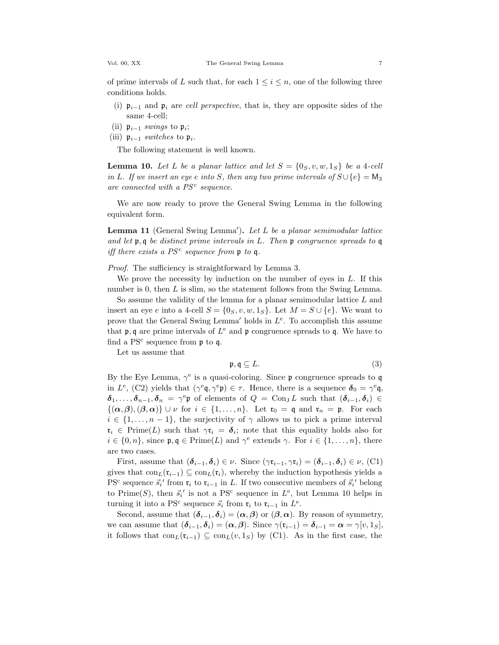of prime intervals of L such that, for each  $1 \leq i \leq n$ , one of the following three conditions holds.

- (i)  $\mathfrak{p}_{i-1}$  and  $\mathfrak{p}_i$  are cell perspective, that is, they are opposite sides of the same 4-cell;
- (ii)  $\mathfrak{p}_{i-1}$  swings to  $\mathfrak{p}_i$ ;
- (iii)  $\mathfrak{p}_{i-1}$  switches to  $\mathfrak{p}_i$ .

The following statement is well known.

**Lemma 10.** Let L be a planar lattice and let  $S = \{0_S, v, w, 1_S\}$  be a 4-cell in L. If we insert an eye e into S, then any two prime intervals of  $S \cup \{e\} = M_3$ are connected with a  $PS<sup>c</sup>$  sequence.

We are now ready to prove the General Swing Lemma in the following equivalent form.

**Lemma 11** (General Swing Lemma'). Let L be a planar semimodular lattice and let  $\mathfrak{p}, \mathfrak{q}$  be distinct prime intervals in L. Then  $\mathfrak{p}$  congruence spreads to  $\mathfrak{q}$ iff there exists a  $PS<sup>c</sup>$  sequence from p to q.

Proof. The sufficiency is straightforward by Lemma 3.

We prove the necessity by induction on the number of eyes in  $L$ . If this number is 0, then L is slim, so the statement follows from the Swing Lemma.

So assume the validity of the lemma for a planar semimodular lattice L and insert an eye e into a 4-cell  $S = \{0_S, v, w, 1_S\}$ . Let  $M = S \cup \{e\}$ . We want to prove that the General Swing Lemma' holds in  $L^e$ . To accomplish this assume that  $\mathfrak{p}, \mathfrak{q}$  are prime intervals of  $L^e$  and  $\mathfrak{p}$  congruence spreads to  $\mathfrak{q}$ . We have to find a PS<sup>c</sup> sequence from  $\mathfrak p$  to q.

Let us assume that

$$
\mathfrak{p}, \mathfrak{q} \subseteq L. \tag{3}
$$

By the Eye Lemma,  $\gamma^e$  is a quasi-coloring. Since  $\mathfrak p$  congruence spreads to  $\mathfrak q$ in  $L^e$ , (C2) yields that  $(\gamma^e \mathfrak{q}, \gamma^e \mathfrak{p}) \in \tau$ . Hence, there is a sequence  $\delta_0 = \gamma^e \mathfrak{q}$ ,  $\delta_1,\ldots,\delta_{n-1},\delta_n = \gamma^e\mathfrak{p}$  of elements of  $Q = \text{Con}_J L$  such that  $(\delta_{i-1},\delta_i) \in$  $\{(\alpha,\beta),(\beta,\alpha)\}\cup\nu$  for  $i\in\{1,\ldots,n\}$ . Let  $\mathfrak{r}_0=\mathfrak{q}$  and  $\mathfrak{r}_n=\mathfrak{p}$ . For each  $i \in \{1, \ldots, n-1\}$ , the surjectivity of  $\gamma$  allows us to pick a prime interval  $\mathfrak{r}_i \in \text{Prime}(L)$  such that  $\gamma \mathfrak{r}_i = \delta_i$ ; note that this equality holds also for  $i \in \{0, n\}$ , since  $\mathfrak{p}, \mathfrak{q} \in \text{Prime}(L)$  and  $\gamma^e$  extends  $\gamma$ . For  $i \in \{1, ..., n\}$ , there are two cases.

First, assume that  $(\boldsymbol{\delta}_{i-1}, \boldsymbol{\delta}_i) \in \nu$ . Since  $(\gamma \mathfrak{r}_{i-1}, \gamma \mathfrak{r}_i) = (\boldsymbol{\delta}_{i-1}, \boldsymbol{\delta}_i) \in \nu$ , (C1) gives that  $\text{con}_L(\mathfrak{r}_{i-1}) \subseteq \text{con}_L(\mathfrak{r}_i)$ , whereby the induction hypothesis yields a PS<sup>c</sup> sequence  $\vec{s_i}$  from  $\mathfrak{r}_i$  to  $\mathfrak{r}_{i-1}$  in L. If two consecutive members of  $\vec{s_i}$  belong to Prime(S), then  $\vec{s_i}'$  is not a PS<sup>c</sup> sequence in  $L^e$ , but Lemma 10 helps in turning it into a PS<sup>c</sup> sequence  $\vec{s}_i$  from  $\mathfrak{r}_i$  to  $\mathfrak{r}_{i-1}$  in  $L^e$ .

Second, assume that  $(\delta_{i-1}, \delta_i) = (\alpha, \beta)$  or  $(\beta, \alpha)$ . By reason of symmetry, we can assume that  $(\boldsymbol{\delta}_{i-1}, \boldsymbol{\delta}_i) = (\boldsymbol{\alpha}, \boldsymbol{\beta})$ . Since  $\gamma(\mathfrak{r}_{i-1}) = \boldsymbol{\delta}_{i-1} = \boldsymbol{\alpha} = \gamma[v, 1_S]$ , it follows that  $\text{con}_L(\mathfrak{r}_{i-1}) \subseteq \text{con}_L(v, 1_S)$  by (C1). As in the first case, the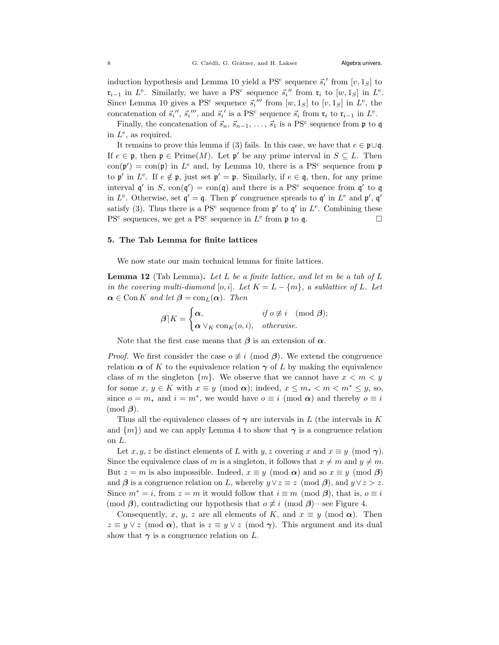induction hypothesis and Lemma 10 yield a PS<sup>c</sup> sequence  $\vec{s_i}'$  from  $[v, 1_S]$  to  $\mathfrak{r}_{i-1}$  in  $L^e$ . Similarly, we have a PS<sup>c</sup> sequence  $\vec{s}_i''$  from  $\mathfrak{r}_i$  to  $[w, 1_S]$  in  $L^e$ . Since Lemma 10 gives a PS<sup>c</sup> sequence  $\vec{s_i}'''$  from  $[w, 1_S]$  to  $[v, 1_S]$  in  $L^e$ , the concatenation of  $\vec{s}_i''$ ,  $\vec{s}_i'''$ , and  $\vec{s}_i'$  is a PS<sup>c</sup> sequence  $\vec{s}_i$  from  $\mathfrak{r}_i$  to  $\mathfrak{r}_{i-1}$  in  $L^e$ .

Finally, the concatenation of  $\vec{s}_n, \vec{s}_{n-1}, \ldots, \vec{s}_1$  is a PS<sup>c</sup> sequence from  $\mathfrak p$  to  $\mathfrak q$ in  $L^e$ , as required.

It remains to prove this lemma if (3) fails. In this case, we have that  $e \in \mathfrak{p} \cup \mathfrak{q}$ . If  $e \in \mathfrak{p}$ , then  $\mathfrak{p} \in \text{Prime}(M)$ . Let  $\mathfrak{p}'$  be any prime interval in  $S \subseteq L$ . Then  $con(\mathfrak{p}') = con(\mathfrak{p})$  in  $L^e$  and, by Lemma 10, there is a PS<sup>c</sup> sequence from  $\mathfrak{p}$ to  $\mathfrak{p}'$  in  $L^e$ . If  $e \notin \mathfrak{p}$ , just set  $\mathfrak{p}' = \mathfrak{p}$ . Similarly, if  $e \in \mathfrak{q}$ , then, for any prime interval  $\mathfrak{q}'$  in S,  $\text{con}(\mathfrak{q}') = \text{con}(\mathfrak{q})$  and there is a PS<sup>c</sup> sequence from  $\mathfrak{q}'$  to  $\mathfrak{q}$ in  $L^e$ . Otherwise, set  $\mathfrak{q}' = \mathfrak{q}$ . Then  $\mathfrak{p}'$  congruence spreads to  $\mathfrak{q}'$  in  $L^e$  and  $\mathfrak{p}'$ ,  $\mathfrak{q}'$ satisfy (3). Thus there is a PS<sup>c</sup> sequence from  $\mathfrak{p}'$  to  $\mathfrak{q}'$  in  $L^e$ . Combining these PS<sup>c</sup> sequences, we get a PS<sup>c</sup> sequence in  $L^e$  from  $\mathfrak p$  to  $\mathfrak q$ .

### 5. The Tab Lemma for finite lattices

We now state our main technical lemma for finite lattices.

**Lemma 12** (Tab Lemma). Let L be a finite lattice, and let m be a tab of L in the covering multi-diamond [o, i]. Let  $K = L - \{m\}$ , a sublattice of L. Let  $\alpha \in \text{Con } K$  and let  $\beta = \text{con}_L(\alpha)$ . Then

$$
\boldsymbol{\beta} | K = \begin{cases} \boldsymbol{\alpha}, & \text{if } \boldsymbol{o} \not\equiv \boldsymbol{i} \pmod{\boldsymbol{\beta}}; \\ \boldsymbol{\alpha} \vee_K \text{con}_K(\boldsymbol{o}, \boldsymbol{i}), & \text{otherwise.} \end{cases}
$$

Note that the first case means that  $\beta$  is an extension of  $\alpha$ .

*Proof.* We first consider the case  $o \neq i \pmod{\beta}$ . We extend the congruence relation  $\alpha$  of K to the equivalence relation  $\gamma$  of L by making the equivalence class of m the singleton  $\{m\}$ . We observe that we cannot have  $x < m < y$ for some  $x, y \in K$  with  $x \equiv y \pmod{\alpha}$ ; indeed,  $x \leq m_* < m < m^* \leq y$ , so, since  $o = m_*$  and  $i = m^*$ , we would have  $o \equiv i \pmod{\alpha}$  and thereby  $o \equiv i$  $\pmod{\beta}$ .

Thus all the equivalence classes of  $\gamma$  are intervals in L (the intervals in K and  $\{m\}$  and we can apply Lemma 4 to show that  $\gamma$  is a congruence relation on L.

Let x, y, z be distinct elements of L with y, z covering x and  $x \equiv y \pmod{\gamma}$ . Since the equivalence class of m is a singleton, it follows that  $x \neq m$  and  $y \neq m$ . But  $z = m$  is also impossible. Indeed,  $x \equiv y \pmod{\alpha}$  and so  $x \equiv y \pmod{\beta}$ and  $\beta$  is a congruence relation on L, whereby  $y \vee z \equiv z \pmod{\beta}$ , and  $y \vee z > z$ . Since  $m^* = i$ , from  $z = m$  it would follow that  $i \equiv m \pmod{\beta}$ , that is,  $o \equiv i$ (mod  $\beta$ ), contradicting our hypothesis that  $o \not\equiv i \pmod{\beta}$ —see Figure 4.

Consequently, x, y, z are all elements of K, and  $x \equiv y \pmod{\alpha}$ . Then  $z \equiv y \vee z \pmod{\alpha}$ , that is  $z \equiv y \vee z \pmod{\gamma}$ . This argument and its dual show that  $\gamma$  is a congruence relation on L.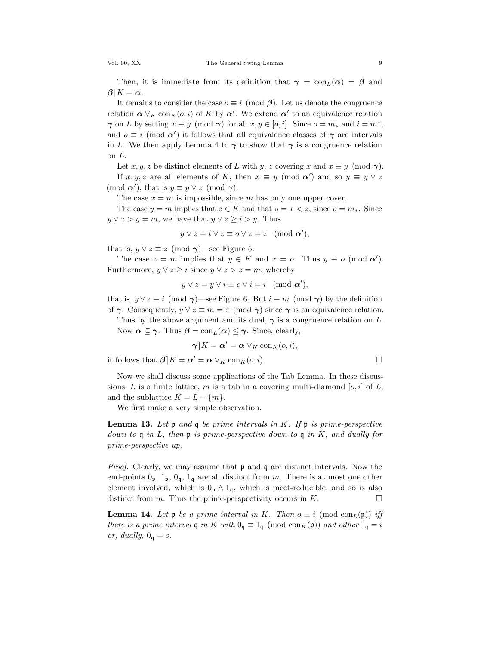Then, it is immediate from its definition that  $\gamma = \text{con}_{L}(\alpha) = \beta$  and  $\beta$ ] $K = \alpha$ .

It remains to consider the case  $o \equiv i \pmod{\beta}$ . Let us denote the congruence relation  $\alpha \vee_K \text{con}_K(o, i)$  of K by  $\alpha'$ . We extend  $\alpha'$  to an equivalence relation  $\gamma$  on L by setting  $x \equiv y \pmod{\gamma}$  for all  $x, y \in [o, i]$ . Since  $o = m_*$  and  $i = m^*$ , and  $o \equiv i \pmod{\alpha'}$  it follows that all equivalence classes of  $\gamma$  are intervals in L. We then apply Lemma 4 to  $\gamma$  to show that  $\gamma$  is a congruence relation on L.

Let x, y, z be distinct elements of L with y, z covering x and  $x \equiv y \pmod{\gamma}$ . If  $x, y, z$  are all elements of K, then  $x \equiv y \pmod{\alpha'}$  and so  $y \equiv y \vee z$ 

 $(\text{mod } \alpha')$ , that is  $y \equiv y \lor z \pmod{\gamma}$ .

The case  $x = m$  is impossible, since m has only one upper cover.

The case  $y = m$  implies that  $z \in K$  and that  $o = x \leq z$ , since  $o = m_*$ . Since  $y \vee z > y = m$ , we have that  $y \vee z \geq i > y$ . Thus

$$
y \vee z = i \vee z \equiv o \vee z = z \pmod{\alpha'},
$$

that is,  $y \vee z \equiv z \pmod{\gamma}$ —see Figure 5.

The case  $z = m$  implies that  $y \in K$  and  $x = o$ . Thus  $y \equiv o \pmod{\alpha'}$ . Furthermore,  $y \lor z \geq i$  since  $y \lor z > z = m$ , whereby

$$
y \vee z = y \vee i \equiv o \vee i = i \pmod{\alpha'},
$$

that is,  $y \vee z \equiv i \pmod{\gamma}$ —see Figure 6. But  $i \equiv m \pmod{\gamma}$  by the definition of  $\gamma$ . Consequently,  $y \lor z \equiv m = z \pmod{\gamma}$  since  $\gamma$  is an equivalence relation.

Thus by the above argument and its dual,  $\gamma$  is a congruence relation on L. Now  $\alpha \subseteq \gamma$ . Thus  $\beta = \text{con}_{L}(\alpha) \leq \gamma$ . Since, clearly,

$$
\boldsymbol{\gamma} | K = \boldsymbol{\alpha}' = \boldsymbol{\alpha} \vee_K \mathrm{con}_K (o, i),
$$

it follows that  $\beta | K = \alpha' = \alpha \vee_K \text{con}_K(o, i)$ .

Now we shall discuss some applications of the Tab Lemma. In these discussions, L is a finite lattice, m is a tab in a covering multi-diamond  $[o, i]$  of L, and the sublattice  $K = L - \{m\}.$ 

We first make a very simple observation.

**Lemma 13.** Let  $\mathfrak p$  and  $\mathfrak q$  be prime intervals in K. If  $\mathfrak p$  is prime-perspective down to q in L, then p is prime-perspective down to q in K, and dually for prime-perspective up.

*Proof.* Clearly, we may assume that  $\mathfrak{p}$  and  $\mathfrak{q}$  are distinct intervals. Now the end-points  $0_p$ ,  $1_p$ ,  $0_q$ ,  $1_q$  are all distinct from m. There is at most one other element involved, which is  $0_p \wedge 1_q$ , which is meet-reducible, and so is also distinct from *m*. Thus the prime-perspectivity occurs in *K*. distinct from  $m$ . Thus the prime-perspectivity occurs in  $K$ .

**Lemma 14.** Let **p** be a prime interval in K. Then  $o \equiv i \pmod{con_L(p)}$  iff there is a prime interval q in K with  $0_q \equiv 1_q \pmod{\text{con}_K(\mathfrak{p})}$  and either  $1_q = i$ or, dually,  $0_{\mathfrak{q}} = o$ .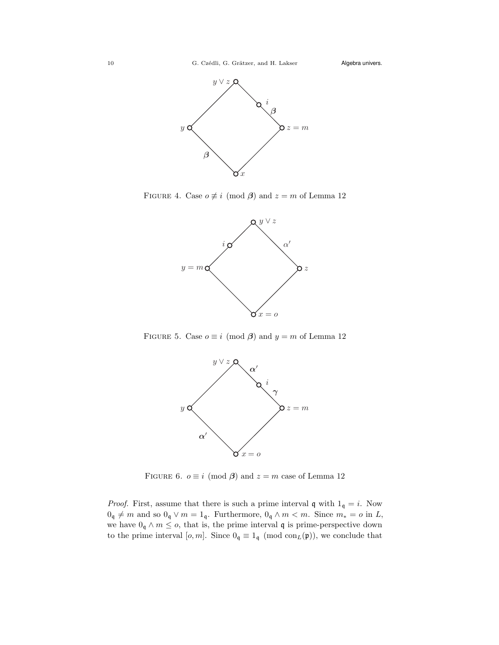

FIGURE 4. Case  $o \not\equiv i \pmod{\beta}$  and  $z = m$  of Lemma 12



FIGURE 5. Case  $o \equiv i \pmod{\beta}$  and  $y = m$  of Lemma 12



FIGURE 6.  $o \equiv i \pmod{\beta}$  and  $z = m$  case of Lemma 12

*Proof.* First, assume that there is such a prime interval q with  $1_q = i$ . Now  $0_{\mathfrak{q}}\neq m$  and so  $0_{\mathfrak{q}}\vee m=1_{\mathfrak{q}}.$  Furthermore,  $0_{\mathfrak{q}}\wedge m< m.$  Since  $m_*=o$  in  $L,$ we have  $0_q \wedge m \leq o$ , that is, the prime interval  $\mathfrak q$  is prime-perspective down to the prime interval  $[o, m]$ . Since  $0_q \equiv 1_q \pmod{con_L(\mathfrak{p})}$ , we conclude that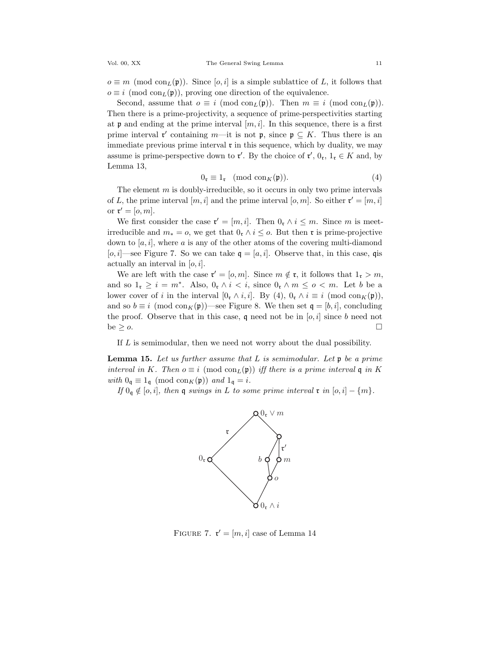$o \equiv m \pmod{\text{con}_L(\mathfrak{p})}$ . Since  $[o, i]$  is a simple sublattice of L, it follows that  $o \equiv i \pmod{\text{con}_{L}(\mathfrak{p})}$ , proving one direction of the equivalence.

Second, assume that  $o \equiv i \pmod{\text{con}_L(\mathfrak{p})}$ . Then  $m \equiv i \pmod{\text{con}_L(\mathfrak{p})}$ . Then there is a prime-projectivity, a sequence of prime-perspectivities starting at **p** and ending at the prime interval  $[m, i]$ . In this sequence, there is a first prime interval  $\mathfrak{r}'$  containing  $m$ —it is not  $\mathfrak{p}$ , since  $\mathfrak{p} \subseteq K$ . Thus there is an immediate previous prime interval  $\mathfrak{r}$  in this sequence, which by duality, we may assume is prime-perspective down to  $\mathfrak{r}'$ . By the choice of  $\mathfrak{r}', 0_{\mathfrak{r}}, 1_{\mathfrak{r}} \in K$  and, by Lemma 13,

$$
0_{\mathfrak{r}} \equiv 1_{\mathfrak{r}} \pmod{\mathrm{con}_{K}(\mathfrak{p})}.
$$
 (4)

The element  $m$  is doubly-irreducible, so it occurs in only two prime intervals of L, the prime interval  $[m, i]$  and the prime interval  $[o, m]$ . So either  $\mathfrak{r}' = [m, i]$ or  $\mathfrak{r}' = [o, m].$ 

We first consider the case  $\mathfrak{r}' = [m, i]$ . Then  $0_{\mathfrak{r}} \wedge i \leq m$ . Since m is meetirreducible and  $m_* = o$ , we get that  $0<sub>r</sub> \wedge i \leq o$ . But then  $\tau$  is prime-projective down to  $[a, i]$ , where a is any of the other atoms of the covering multi-diamond [o, i]—see Figure 7. So we can take  $q = [a, i]$ . Observe that, in this case, qis actually an interval in  $[0, i]$ .

We are left with the case  $\mathfrak{r}' = [o, m]$ . Since  $m \notin \mathfrak{r}$ , it follows that  $1_{\mathfrak{r}} > m$ , and so  $1_{\mathfrak{r}} \geq i = m^*$ . Also,  $0_{\mathfrak{r}} \wedge i < i$ , since  $0_{\mathfrak{r}} \wedge m \leq o < m$ . Let b be a lower cover of i in the interval  $[0<sub>r</sub> \wedge i, i]$ . By  $(4)$ ,  $0<sub>r</sub> \wedge i \equiv i \pmod{con_K(\mathfrak{p})}$ , and so  $b \equiv i \pmod{\text{con}_K(\mathfrak{p})}$ —see Figure 8. We then set  $\mathfrak{q} = [b, i]$ , concluding the proof. Observe that in this case,  $\mathfrak q$  need not be in  $[o, i]$  since b need not be  $\geq o$ .

If L is semimodular, then we need not worry about the dual possibility.

**Lemma 15.** Let us further assume that  $L$  is semimodular. Let  $\mathfrak{p}$  be a prime interval in K. Then  $o \equiv i \pmod{con_L(\mathfrak{p})}$  iff there is a prime interval q in K with  $0_q \equiv 1_q \pmod{\text{con}_K(\mathfrak{p})}$  and  $1_q = i$ .

If  $0_q \notin [o, i]$ , then q swings in L to some prime interval  $\mathfrak{r}$  in  $[o, i] - \{m\}$ .



FIGURE 7.  $\mathbf{r}' = [m, i]$  case of Lemma 14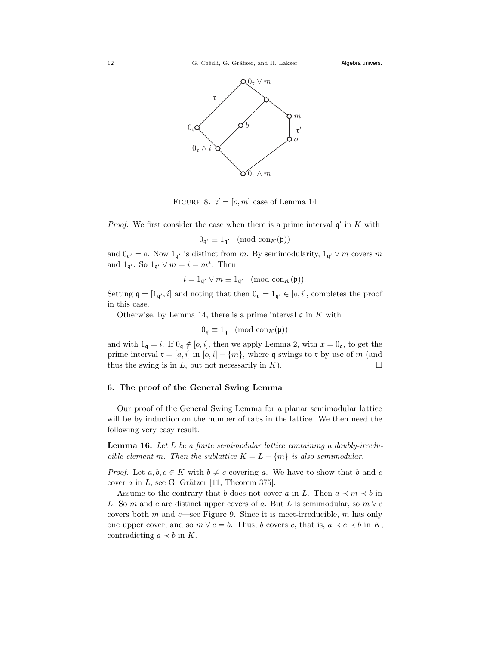

FIGURE 8.  $\mathfrak{r}' = [o, m]$  case of Lemma 14

*Proof.* We first consider the case when there is a prime interval  $\mathfrak{q}'$  in K with

$$
0_{\mathfrak{q}'} \equiv 1_{\mathfrak{q}'} \pmod{\mathrm{con}_K(\mathfrak{p})}
$$

and  $0_{\mathfrak{q}'} = o$ . Now  $1_{\mathfrak{q'}}$  is distinct from m. By semimodularity,  $1_{\mathfrak{q'}} \vee m$  covers m and  $1_{\mathfrak{q}'}$ . So  $1_{\mathfrak{q}'} \vee m = i = m^*$ . Then

$$
i = 1_{\mathfrak{q}'} \vee m \equiv 1_{\mathfrak{q}'} \pmod{\mathrm{con}_K(\mathfrak{p})}.
$$

Setting  $\mathfrak{q} = [1_{\mathfrak{q}'}, i]$  and noting that then  $0_{\mathfrak{q}} = 1_{\mathfrak{q}'} \in [o, i]$ , completes the proof in this case.

Otherwise, by Lemma 14, there is a prime interval  $\mathfrak q$  in  $K$  with

$$
0_{\mathfrak{q}} \equiv 1_{\mathfrak{q}} \pmod{\mathrm{con}_K(\mathfrak{p})}
$$

and with  $1_{\mathfrak{q}} = i$ . If  $0_{\mathfrak{q}} \notin [o, i]$ , then we apply Lemma 2, with  $x = 0_{\mathfrak{q}}$ , to get the prime interval  $\mathbf{r} = [a, i]$  in  $[o, i] - \{m\}$ , where q swings to  $\mathbf{r}$  by use of m (and thus the swing is in L, but not necessarily in K). thus the swing is in  $L$ , but not necessarily in  $K$ ).

### 6. The proof of the General Swing Lemma

Our proof of the General Swing Lemma for a planar semimodular lattice will be by induction on the number of tabs in the lattice. We then need the following very easy result.

Lemma 16. Let L be a finite semimodular lattice containing a doubly-irreducible element m. Then the sublattice  $K = L - \{m\}$  is also semimodular.

*Proof.* Let  $a, b, c \in K$  with  $b \neq c$  covering a. We have to show that b and c cover  $a$  in  $L$ ; see G. Grätzer [11, Theorem 375].

Assume to the contrary that b does not cover a in L. Then  $a \prec m \prec b$  in L. So m and c are distinct upper covers of a. But L is semimodular, so  $m \vee c$ covers both  $m$  and  $c$ —see Figure 9. Since it is meet-irreducible,  $m$  has only one upper cover, and so  $m \vee c = b$ . Thus, b covers c, that is,  $a \prec c \prec b$  in K, contradicting  $a \prec b$  in K.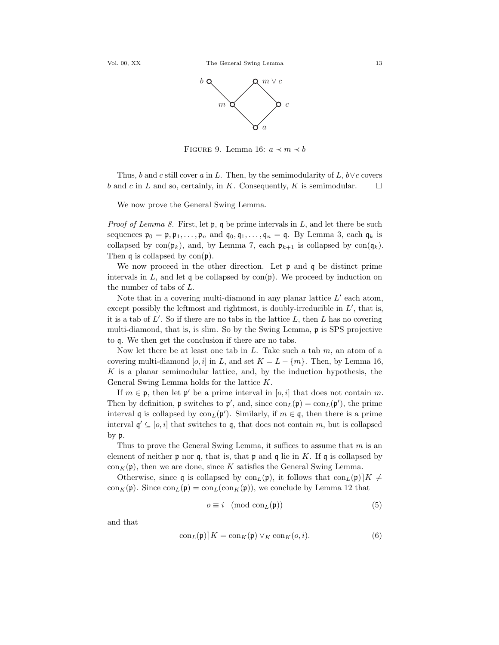

FIGURE 9. Lemma 16:  $a \prec m \prec b$ 

Thus, b and c still cover a in L. Then, by the semimodularity of L, b∨c covers and c in L and so, certainly, in K. Consequently, K is semimodular.  $b$  and  $c$  in  $L$  and so, certainly, in  $K$ . Consequently,  $K$  is semimodular.

We now prove the General Swing Lemma.

*Proof of Lemma 8.* First, let  $\mathfrak{p}$ ,  $\mathfrak{q}$  be prime intervals in L, and let there be such sequences  $\mathfrak{p}_0 = \mathfrak{p}, \mathfrak{p}_1, \ldots, \mathfrak{p}_n$  and  $\mathfrak{q}_0, \mathfrak{q}_1, \ldots, \mathfrak{q}_n = \mathfrak{q}$ . By Lemma 3, each  $\mathfrak{q}_k$  is collapsed by  $con(\mathfrak{p}_k)$ , and, by Lemma 7, each  $\mathfrak{p}_{k+1}$  is collapsed by  $con(\mathfrak{q}_k)$ . Then  $\mathfrak q$  is collapsed by  $con(\mathfrak p)$ .

We now proceed in the other direction. Let  $\mathfrak p$  and  $\mathfrak q$  be distinct prime intervals in  $L$ , and let q be collapsed by con $(\mathfrak{p})$ . We proceed by induction on the number of tabs of L.

Note that in a covering multi-diamond in any planar lattice  $L'$  each atom, except possibly the leftmost and rightmost, is doubly-irreducible in  $L'$ , that is, it is a tab of  $L'$ . So if there are no tabs in the lattice  $L$ , then  $L$  has no covering multi-diamond, that is, is slim. So by the Swing Lemma, p is SPS projective to q. We then get the conclusion if there are no tabs.

Now let there be at least one tab in  $L$ . Take such a tab  $m$ , an atom of a covering multi-diamond [o, i] in L, and set  $K = L - \{m\}$ . Then, by Lemma 16,  $K$  is a planar semimodular lattice, and, by the induction hypothesis, the General Swing Lemma holds for the lattice K.

If  $m \in \mathfrak{p}$ , then let  $\mathfrak{p}'$  be a prime interval in  $[o, i]$  that does not contain m. Then by definition,  $\mathfrak p$  switches to  $\mathfrak p'$ , and, since  $\text{con}_L(\mathfrak p) = \text{con}_L(\mathfrak p')$ , the prime interval q is collapsed by  $con_L(\mathfrak{p}')$ . Similarly, if  $m \in \mathfrak{q}$ , then there is a prime interval  $\mathfrak{q}' \subseteq [o, i]$  that switches to  $\mathfrak{q}$ , that does not contain  $m$ , but is collapsed by p.

Thus to prove the General Swing Lemma, it suffices to assume that  $m$  is an element of neither  $\mathfrak p$  nor  $\mathfrak q$ , that is, that  $\mathfrak p$  and  $\mathfrak q$  lie in K. If  $\mathfrak q$  is collapsed by  $\text{con}_K(\mathfrak{p})$ , then we are done, since K satisfies the General Swing Lemma.

Otherwise, since q is collapsed by  $\text{con}_L(\mathfrak{p})$ , it follows that  $\text{con}_L(\mathfrak{p})[K] \neq$  $\text{con}_K(\mathfrak{p})$ . Since  $\text{con}_L(\mathfrak{p}) = \text{con}_L(\text{con}_K(\mathfrak{p}))$ , we conclude by Lemma 12 that

$$
o \equiv i \pmod{\text{con}_L(\mathfrak{p})}
$$
 (5)

and that

$$
\operatorname{con}_{L}(\mathfrak{p})[K] = \operatorname{con}_{K}(\mathfrak{p}) \vee_{K} \operatorname{con}_{K}(o, i). \tag{6}
$$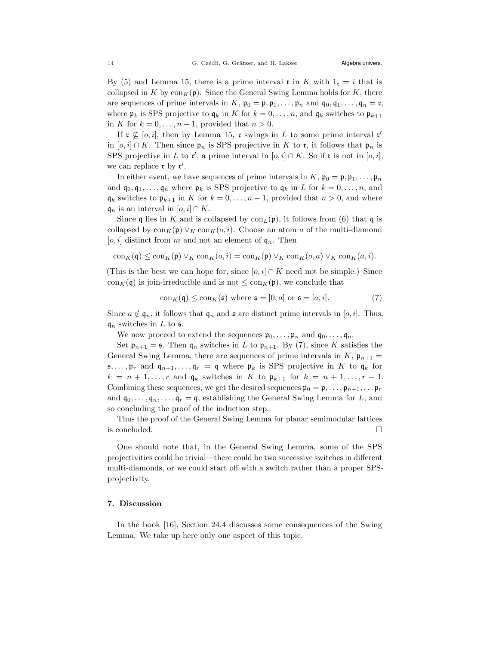By (5) and Lemma 15, there is a prime interval  $\mathfrak{r}$  in K with  $1_{\mathfrak{r}} = i$  that is collapsed in K by  $\text{con}_K(\mathfrak{p})$ . Since the General Swing Lemma holds for K, there are sequences of prime intervals in K,  $\mathfrak{p}_0 = \mathfrak{p}, \mathfrak{p}_1, \ldots, \mathfrak{p}_n$  and  $\mathfrak{q}_0, \mathfrak{q}_1, \ldots, \mathfrak{q}_n = \mathfrak{r}$ , where  $\mathfrak{p}_k$  is SPS projective to  $\mathfrak{q}_k$  in K for  $k = 0, \ldots, n$ , and  $\mathfrak{q}_k$  switches to  $\mathfrak{p}_{k+1}$ in K for  $k = 0, \ldots, n - 1$ , provided that  $n > 0$ .

If  $\mathfrak{r} \nsubseteq [o, i]$ , then by Lemma 15,  $\mathfrak{r}$  swings in L to some prime interval  $\mathfrak{r}'$ in [o, i] ∩ K. Then since  $\mathfrak{p}_n$  is SPS projective in K to  $\mathfrak{r}$ , it follows that  $\mathfrak{p}_n$  is SPS projective in L to  $\mathfrak{r}'$ , a prime interval in  $[o, i] \cap K$ . So if  $\mathfrak{r}$  is not in  $[o, i]$ , we can replace  $\mathfrak{r}$  by  $\mathfrak{r}'$ .

In either event, we have sequences of prime intervals in  $K$ ,  $\mathfrak{p}_0 = \mathfrak{p}, \mathfrak{p}_1, \ldots, \mathfrak{p}_n$ and  $\mathfrak{q}_0, \mathfrak{q}_1, \ldots, \mathfrak{q}_n$  where  $\mathfrak{p}_k$  is SPS projective to  $\mathfrak{q}_k$  in L for  $k = 0, \ldots, n$ , and  $\mathfrak{q}_k$  switches to  $\mathfrak{p}_{k+1}$  in K for  $k = 0, \ldots, n-1$ , provided that  $n > 0$ , and where  $\mathfrak{q}_n$  is an interval in  $[o, i] \cap K$ .

Since q lies in K and is collapsed by  $\text{con}_L(\mathfrak{p})$ , it follows from (6) that q is collapsed by  $\text{con}_K(\mathfrak{p}) \vee_K \text{con}_K(o, i)$ . Choose an atom a of the multi-diamond [o, i] distinct from m and not an element of  $\mathfrak{q}_n$ . Then

$$
\operatorname{con}_{K}(\mathfrak{q}) \leq \operatorname{con}_{K}(\mathfrak{p}) \vee_{K} \operatorname{con}_{K}(o, i) = \operatorname{con}_{K}(\mathfrak{p}) \vee_{K} \operatorname{con}_{K}(o, a) \vee_{K} \operatorname{con}_{K}(a, i).
$$

(This is the best we can hope for, since  $[o, i] \cap K$  need not be simple.) Since con<sub>K</sub>(q) is join-irreducible and is not  $\leq$  con<sub>K</sub>(p), we conclude that

$$
con_K(\mathfrak{q}) \leq con_K(\mathfrak{s}) \text{ where } \mathfrak{s} = [0, a] \text{ or } \mathfrak{s} = [a, i].
$$
 (7)

Since  $a \notin \mathfrak{q}_n$ , it follows that  $\mathfrak{q}_n$  and  $\mathfrak s$  are distinct prime intervals in [*o, i*]. Thus,  $\mathfrak{q}_n$  switches in L to s.

We now proceed to extend the sequences  $\mathfrak{p}_0, \ldots, \mathfrak{p}_n$  and  $\mathfrak{q}_0, \ldots, \mathfrak{q}_n$ .

Set  $\mathfrak{p}_{n+1} = \mathfrak{s}$ . Then  $\mathfrak{q}_n$  switches in L to  $\mathfrak{p}_{n+1}$ . By (7), since K satisfies the General Swing Lemma, there are sequences of prime intervals in  $K$ ,  $\mathfrak{p}_{n+1} =$  $\mathfrak{s}, \ldots, \mathfrak{p}_r$  and  $\mathfrak{q}_{n+1}, \ldots, \mathfrak{q}_r = \mathfrak{q}$  where  $\mathfrak{p}_k$  is SPS projective in K to  $\mathfrak{q}_k$  for  $k = n + 1, \ldots, r$  and  $q_k$  switches in K to  $\mathfrak{p}_{k+1}$  for  $k = n + 1, \ldots, r - 1$ . Combining these sequences, we get the desired sequences  $\mathfrak{p}_0 = \mathfrak{p}, \ldots, \mathfrak{p}_{n+1}, \ldots \mathfrak{p}_r$ and  $\mathfrak{q}_0, \ldots, \mathfrak{q}_n, \ldots, \mathfrak{q}_r = \mathfrak{q}$ , establishing the General Swing Lemma for L, and so concluding the proof of the induction step.

Thus the proof of the General Swing Lemma for planar semimodular lattices is concluded.  $\Box$ 

One should note that, in the General Swing Lemma, some of the SPS projectivities could be trivial—there could be two successive switches in different multi-diamonds, or we could start off with a switch rather than a proper SPSprojectivity.

## 7. Discussion

In the book [16], Section 24.4 discusses some consequences of the Swing Lemma. We take up here only one aspect of this topic.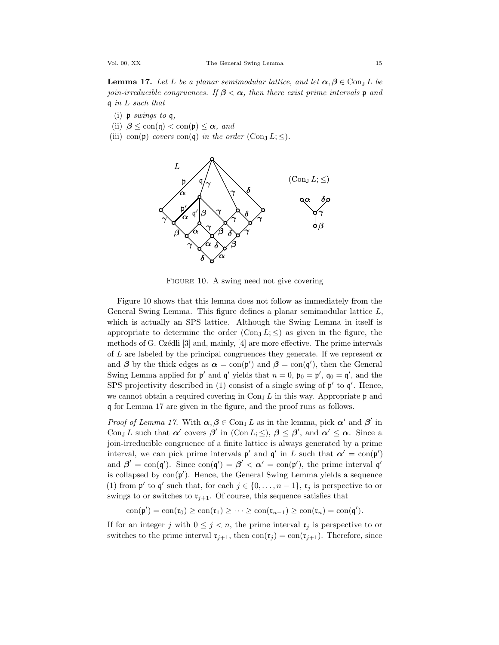**Lemma 17.** Let L be a planar semimodular lattice, and let  $\alpha, \beta \in \text{Con}_J L$  be join-irreducible congruences. If  $\beta < \alpha$ , then there exist prime intervals p and q in L such that

- (i)  $p \,$  swings to  $q$ ,
- (ii)  $\beta \leq \text{con}(\mathfrak{g}) < \text{con}(\mathfrak{p}) \leq \alpha$ , and
- (iii) con(p) covers con(q) in the order (Con<sub>J</sub>  $L; \leq$ ).



FIGURE 10. A swing need not give covering

Figure 10 shows that this lemma does not follow as immediately from the General Swing Lemma. This figure defines a planar semimodular lattice L, which is actually an SPS lattice. Although the Swing Lemma in itself is appropriate to determine the order  $(\text{Con}_I L; \leq)$  as given in the figure, the methods of G. Czédli  $[3]$  and, mainly,  $[4]$  are more effective. The prime intervals of L are labeled by the principal congruences they generate. If we represent  $\alpha$ and  $\beta$  by the thick edges as  $\alpha = \text{con}(\mathfrak{p}')$  and  $\beta = \text{con}(\mathfrak{q}')$ , then the General Swing Lemma applied for  $\mathfrak{p}'$  and  $\mathfrak{q}'$  yields that  $n = 0$ ,  $\mathfrak{p}_0 = \mathfrak{p}'$ ,  $\mathfrak{q}_0 = \mathfrak{q}'$ , and the SPS projectivity described in (1) consist of a single swing of  $\mathfrak{p}'$  to  $\mathfrak{q}'$ . Hence, we cannot obtain a required covering in  $\text{Con}_{I} L$  in this way. Appropriate p and q for Lemma 17 are given in the figure, and the proof runs as follows.

*Proof of Lemma 17.* With  $\alpha, \beta \in \text{Con}_J L$  as in the lemma, pick  $\alpha'$  and  $\beta'$  in Con<sub>J</sub> L such that  $\alpha'$  covers  $\beta'$  in (Con L;  $\leq$ ),  $\beta \leq \beta'$ , and  $\alpha' \leq \alpha$ . Since a join-irreducible congruence of a finite lattice is always generated by a prime interval, we can pick prime intervals  $p'$  and  $q'$  in L such that  $\alpha' = \text{con}(p')$ and  $\beta' = \text{con}(\mathfrak{q}')$ . Since  $\text{con}(\mathfrak{q}') = \beta' < \alpha' = \text{con}(\mathfrak{p}')$ , the prime interval  $\mathfrak{q}'$ is collapsed by  $con(\mathfrak{p}')$ . Hence, the General Swing Lemma yields a sequence (1) from  $\mathfrak{p}'$  to  $\mathfrak{q}'$  such that, for each  $j \in \{0, \ldots, n-1\}$ ,  $\mathfrak{r}_j$  is perspective to or swings to or switches to  $\mathfrak{r}_{j+1}$ . Of course, this sequence satisfies that

 $con(\mathfrak{p}') = con(\mathfrak{r}_0) \geq con(\mathfrak{r}_1) \geq \cdots \geq con(\mathfrak{r}_{n-1}) \geq con(\mathfrak{r}_n) = con(\mathfrak{q}').$ 

If for an integer j with  $0 \leq j \leq n$ , the prime interval  $\mathfrak{r}_i$  is perspective to or switches to the prime interval  $\mathfrak{r}_{j+1}$ , then  $con(\mathfrak{r}_j) = con(\mathfrak{r}_{j+1})$ . Therefore, since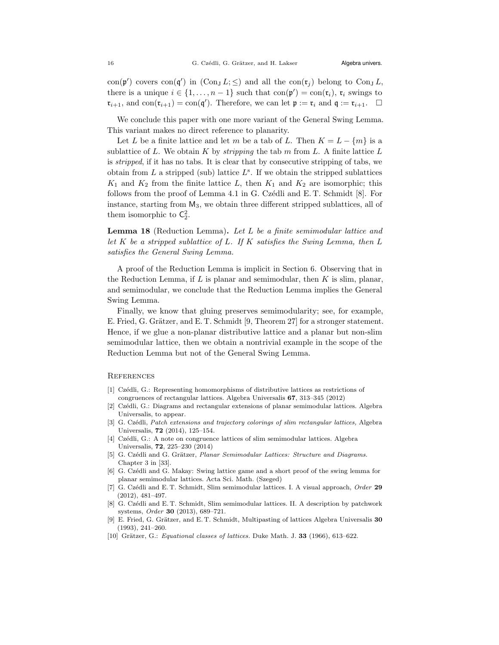con( $\mathfrak{p}'$ ) covers con( $\mathfrak{q}'$ ) in (Con<sub>J</sub> L;  $\leq$ ) and all the con( $\mathfrak{r}_j$ ) belong to Con<sub>J</sub> L, there is a unique  $i \in \{1, ..., n-1\}$  such that  $con(\mathfrak{p}') = con(\mathfrak{r}_i)$ ,  $\mathfrak{r}_i$  swings to  $\mathfrak{r}_{i+1}$ , and  $\text{con}(\mathfrak{r}_{i+1}) = \text{con}(\mathfrak{q}')$ . Therefore, we can let  $\mathfrak{p} := \mathfrak{r}_i$  and  $\mathfrak{q} := \mathfrak{r}_{i+1}$ .  $\Box$ 

We conclude this paper with one more variant of the General Swing Lemma. This variant makes no direct reference to planarity.

Let L be a finite lattice and let m be a tab of L. Then  $K = L - \{m\}$  is a sublattice of L. We obtain K by *stripping* the tab  $m$  from L. A finite lattice  $L$ is stripped, if it has no tabs. It is clear that by consecutive stripping of tabs, we obtain from  $L$  a stripped (sub) lattice  $L^s$ . If we obtain the stripped sublattices  $K_1$  and  $K_2$  from the finite lattice L, then  $K_1$  and  $K_2$  are isomorphic; this follows from the proof of Lemma 4.1 in G. Czédli and E. T. Schmidt  $[8]$ . For instance, starting from  $M_3$ , we obtain three different stripped sublattices, all of them isomorphic to  $C_2^2$ .

Lemma 18 (Reduction Lemma). Let L be a finite semimodular lattice and let  $K$  be a stripped sublattice of  $L$ . If  $K$  satisfies the Swing Lemma, then  $L$ satisfies the General Swing Lemma.

A proof of the Reduction Lemma is implicit in Section 6. Observing that in the Reduction Lemma, if L is planar and semimodular, then  $K$  is slim, planar, and semimodular, we conclude that the Reduction Lemma implies the General Swing Lemma.

Finally, we know that gluing preserves semimodularity; see, for example, E. Fried, G. Grätzer, and E. T. Schmidt [9, Theorem 27] for a stronger statement. Hence, if we glue a non-planar distributive lattice and a planar but non-slim semimodular lattice, then we obtain a nontrivial example in the scope of the Reduction Lemma but not of the General Swing Lemma.

#### **REFERENCES**

- [1] Czédli, G.: Representing homomorphisms of distributive lattices as restrictions of congruences of rectangular lattices. Algebra Universalis 67, 313–345 (2012)
- [2] Cz´edli, G.: Diagrams and rectangular extensions of planar semimodular lattices. Algebra Universalis, to appear.
- [3] G. Czédli, Patch extensions and trajectory colorings of slim rectangular lattices, Algebra Universalis, 72 (2014), 125–154.
- [4] Czédli, G.: A note on congruence lattices of slim semimodular lattices. Algebra Universalis, 72, 225–230 (2014)
- [5] G. Czédli and G. Grätzer, Planar Semimodular Lattices: Structure and Diagrams. Chapter 3 in [33].
- [6] G. Czédli and G. Makay: Swing lattice game and a short proof of the swing lemma for planar semimodular lattices. Acta Sci. Math. (Szeged)
- [7] G. Czédli and E. T. Schmidt, Slim semimodular lattices. I. A visual approach, Order 29 (2012), 481–497.
- [8] G. Czédli and E. T. Schmidt, Slim semimodular lattices. II. A description by patchwork systems, Order 30 (2013), 689–721.
- [9] E. Fried, G. Grätzer, and E. T. Schmidt, Multipasting of lattices Algebra Universalis 30 (1993), 241–260.
- [10] Grätzer, G.: Equational classes of lattices. Duke Math. J.  $33$  (1966), 613-622.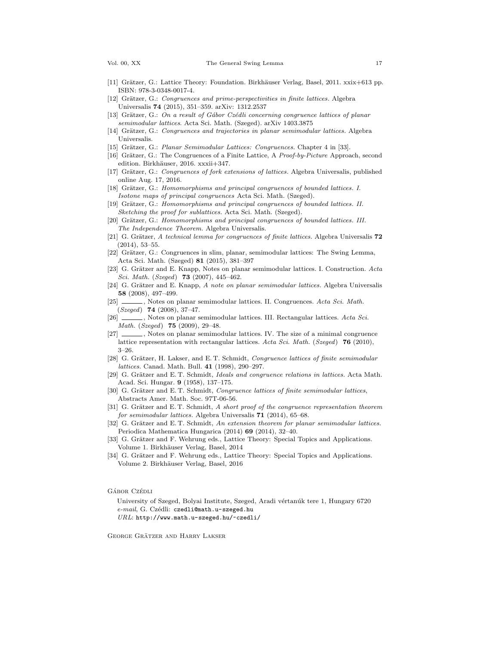- [11] Grätzer, G.: Lattice Theory: Foundation. Birkhäuser Verlag, Basel, 2011. xxix+613 pp. ISBN: 978-3-0348-0017-4.
- [12] Grätzer, G.: Congruences and prime-perspectivities in finite lattices. Algebra Universalis 74 (2015), 351–359. arXiv: 1312.2537
- [13] Grätzer, G.: On a result of Gábor Czédli concerning congruence lattices of planar semimodular lattices. Acta Sci. Math. (Szeged). arXiv 1403.3875
- [14] Grätzer, G.: Congruences and trajectories in planar semimodular lattices. Algebra Universalis.
- [15] Grätzer, G.: Planar Semimodular Lattices: Congruences. Chapter 4 in [33].
- [16] Grätzer, G.: The Congruences of a Finite Lattice, A Proof-by-Picture Approach, second edition. Birkhäuser, 2016. xxxii+347.
- [17] Grätzer, G.: Congruences of fork extensions of lattices. Algebra Universalis, published online Aug. 17, 2016.
- [18] Grätzer, G.: Homomorphisms and principal congruences of bounded lattices. I. Isotone maps of principal congruences Acta Sci. Math. (Szeged).
- [19] Grätzer, G.: Homomorphisms and principal congruences of bounded lattices. II. Sketching the proof for sublattices. Acta Sci. Math. (Szeged).
- [20] Grätzer, G.: Homomorphisms and principal congruences of bounded lattices. III. The Independence Theorem. Algebra Universalis.
- [21] G. Grätzer, A technical lemma for congruences of finite lattices. Algebra Universalis  $72$ (2014), 53–55.
- [22] Grätzer, G.: Congruences in slim, planar, semimodular lattices: The Swing Lemma, Acta Sci. Math. (Szeged) 81 (2015), 381–397
- [23] G. Grätzer and E. Knapp, Notes on planar semimodular lattices. I. Construction. Acta Sci. Math. (Szeged) **73** (2007), 445-462.
- [24] G. Grätzer and E. Knapp, A note on planar semimodular lattices. Algebra Universalis 58 (2008), 497–499.
- [25] , Notes on planar semimodular lattices. II. Congruences. Acta Sci. Math.  $(Szeged)$  **74** (2008), 37-47.
- [26]  $\_\_\_\_\$ , Notes on planar semimodular lattices. III. Rectangular lattices. Acta Sci. Math. (Szeged) 75 (2009), 29–48.
- [27] , Notes on planar semimodular lattices. IV. The size of a minimal congruence lattice representation with rectangular lattices. Acta Sci. Math. (Szeged) 76 (2010), 3–26.
- [28] G. Grätzer, H. Lakser, and E. T. Schmidt, Congruence lattices of finite semimodular lattices. Canad. Math. Bull. 41 (1998), 290–297.
- [29] G. Grätzer and E. T. Schmidt, Ideals and congruence relations in lattices. Acta Math. Acad. Sci. Hungar. 9 (1958), 137–175.
- [30] G. Grätzer and E. T. Schmidt, Congruence lattices of finite semimodular lattices, Abstracts Amer. Math. Soc. 97T-06-56.
- [31] G. Grätzer and E.T. Schmidt, A short proof of the congruence representation theorem for semimodular lattices. Algebra Universalis 71 (2014), 65–68.
- [32] G. Grätzer and E. T. Schmidt, An extension theorem for planar semimodular lattices. Periodica Mathematica Hungarica (2014) 69 (2014), 32–40.
- [33] G. Grätzer and F. Wehrung eds., Lattice Theory: Special Topics and Applications. Volume 1. Birkhäuser Verlag, Basel, 2014
- [34] G. Grätzer and F. Wehrung eds., Lattice Theory: Special Topics and Applications. Volume 2. Birkh¨auser Verlag, Basel, 2016

#### GÁBOR CZÉDLI

University of Szeged, Bolyai Institute, Szeged, Aradi vértanúk tere 1, Hungary 6720 e-mail, G. Czédli: czedli@math.u-szeged.hu URL: http://www.math.u-szeged.hu/~czedli/

GEORGE GRÄTZER AND HARRY LAKSER